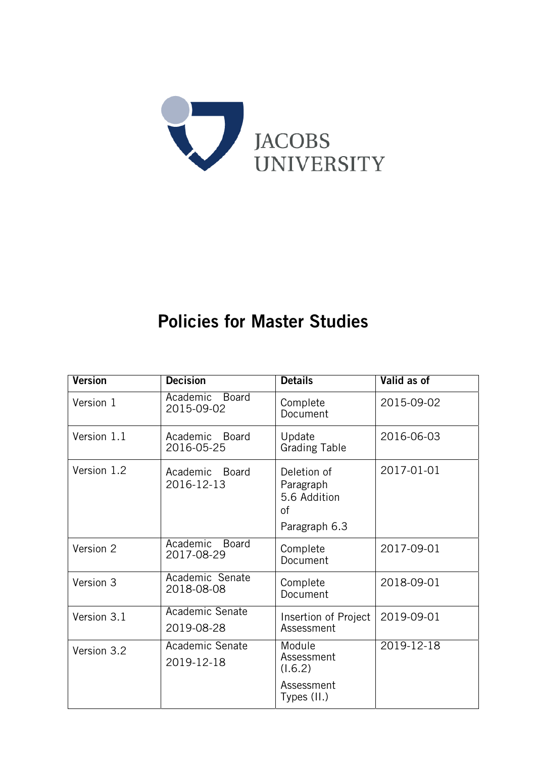

# Policies for Master Studies

| <b>Version</b> | <b>Decision</b>                        | <b>Details</b>                                                  | Valid as of |  |
|----------------|----------------------------------------|-----------------------------------------------------------------|-------------|--|
| Version 1      | Academic Board<br>2015-09-02           | Complete<br>Document                                            | 2015-09-02  |  |
| Version 1.1    | Academic<br><b>Board</b><br>2016-05-25 | Update<br><b>Grading Table</b>                                  | 2016-06-03  |  |
| Version 1.2    | Academic<br><b>Board</b><br>2016-12-13 | Deletion of<br>Paragraph<br>5.6 Addition<br>0f<br>Paragraph 6.3 | 2017-01-01  |  |
| Version 2      | Academic<br><b>Board</b><br>2017-08-29 | Complete<br>Document                                            | 2017-09-01  |  |
| Version 3      | Academic Senate<br>2018-08-08          | Complete<br>Document                                            | 2018-09-01  |  |
| Version 3.1    | Academic Senate<br>2019-08-28          | Insertion of Project<br>Assessment                              | 2019-09-01  |  |
| Version 3.2    | Academic Senate<br>2019-12-18          | Module<br>Assessment<br>(1.6.2)<br>Assessment<br>Types (II.)    | 2019-12-18  |  |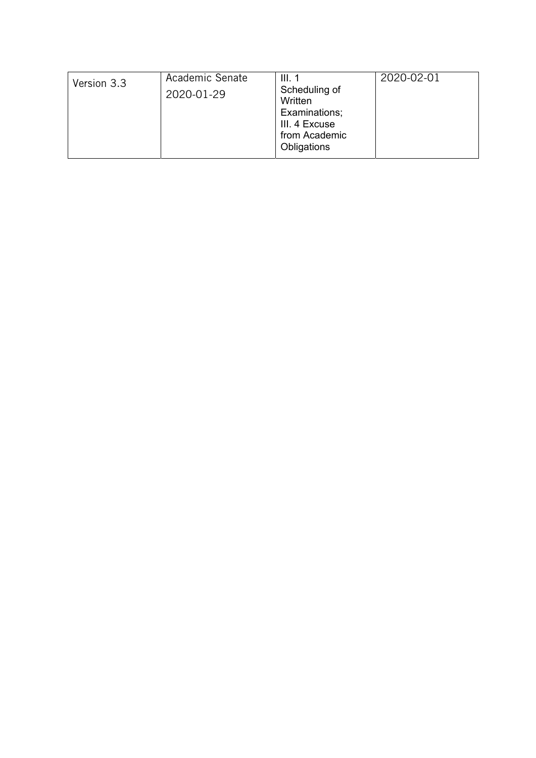| Version 3.3<br>Scheduling of<br>2020-01-29<br>Written<br>Examinations;<br>III. 4 Excuse<br>from Academic<br>Obligations |  | Academic Senate | III.1 | 2020-02-01 |
|-------------------------------------------------------------------------------------------------------------------------|--|-----------------|-------|------------|
|-------------------------------------------------------------------------------------------------------------------------|--|-----------------|-------|------------|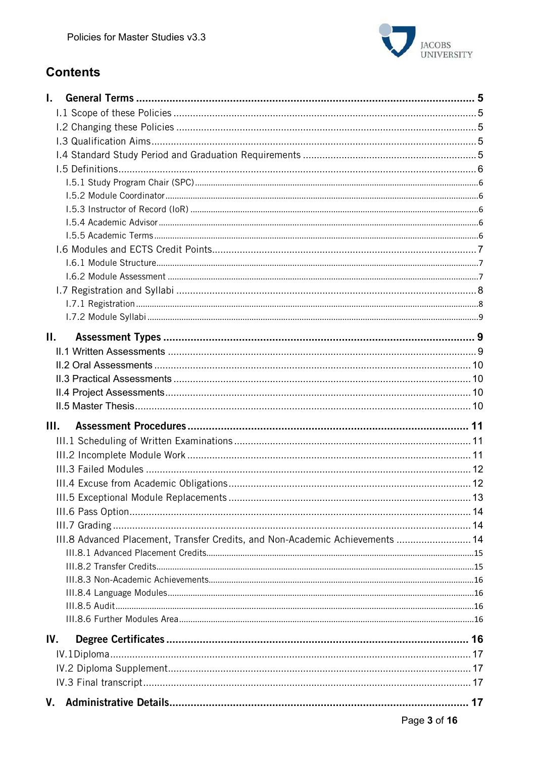

# **Contents**

| L.                                                                            |  |
|-------------------------------------------------------------------------------|--|
|                                                                               |  |
|                                                                               |  |
|                                                                               |  |
|                                                                               |  |
|                                                                               |  |
|                                                                               |  |
|                                                                               |  |
|                                                                               |  |
|                                                                               |  |
|                                                                               |  |
|                                                                               |  |
|                                                                               |  |
|                                                                               |  |
|                                                                               |  |
|                                                                               |  |
|                                                                               |  |
| П.                                                                            |  |
|                                                                               |  |
|                                                                               |  |
|                                                                               |  |
|                                                                               |  |
|                                                                               |  |
| Ш.                                                                            |  |
|                                                                               |  |
|                                                                               |  |
|                                                                               |  |
|                                                                               |  |
|                                                                               |  |
|                                                                               |  |
|                                                                               |  |
| III.8 Advanced Placement, Transfer Credits, and Non-Academic Achievements  14 |  |
|                                                                               |  |
|                                                                               |  |
|                                                                               |  |
|                                                                               |  |
|                                                                               |  |
|                                                                               |  |
| IV.                                                                           |  |
|                                                                               |  |
|                                                                               |  |
|                                                                               |  |
|                                                                               |  |
|                                                                               |  |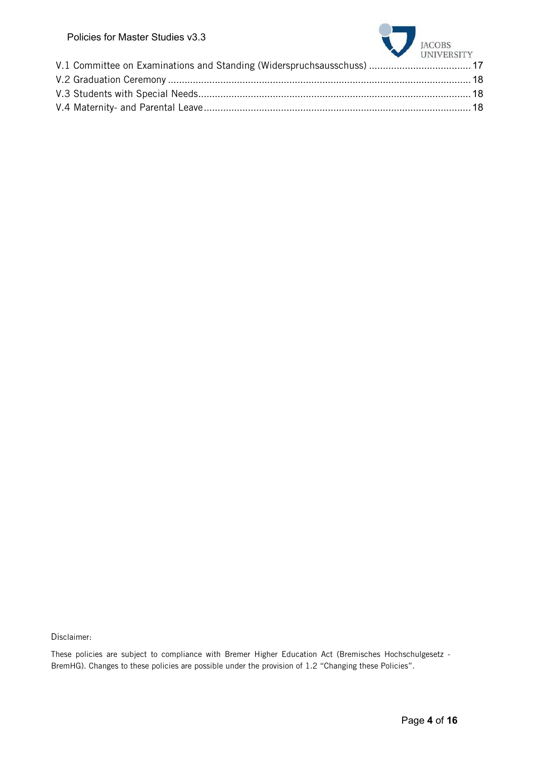| , טוטוטט וטו ווען זטו טוטווט ו                                         | JACOBS UNIVERSITY |
|------------------------------------------------------------------------|-------------------|
| V.1 Committee on Examinations and Standing (Widerspruchsausschuss)  17 |                   |
|                                                                        |                   |
|                                                                        |                   |
|                                                                        |                   |
|                                                                        |                   |

Disclaimer:

These policies are subject to compliance with Bremer Higher Education Act (Bremisches Hochschulgesetz - BremHG). Changes to these policies are possible under the provision of 1.2 "Changing these Policies".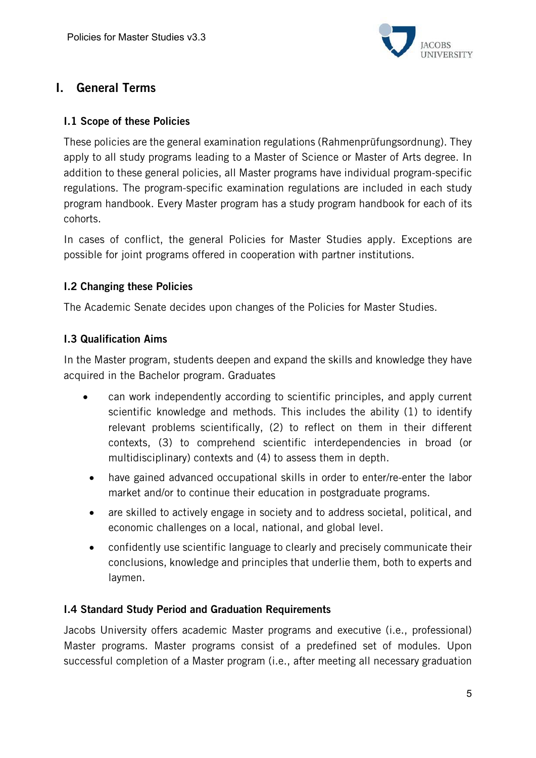

# I. General Terms

## I.1 Scope of these Policies

These policies are the general examination regulations (Rahmenprüfungsordnung). They apply to all study programs leading to a Master of Science or Master of Arts degree. In addition to these general policies, all Master programs have individual program-specific regulations. The program-specific examination regulations are included in each study program handbook. Every Master program has a study program handbook for each of its cohorts.

In cases of conflict, the general Policies for Master Studies apply. Exceptions are possible for joint programs offered in cooperation with partner institutions.

## I.2 Changing these Policies

The Academic Senate decides upon changes of the Policies for Master Studies.

## I.3 Qualification Aims

In the Master program, students deepen and expand the skills and knowledge they have acquired in the Bachelor program. Graduates

- can work independently according to scientific principles, and apply current scientific knowledge and methods. This includes the ability (1) to identify relevant problems scientifically, (2) to reflect on them in their different contexts, (3) to comprehend scientific interdependencies in broad (or multidisciplinary) contexts and (4) to assess them in depth.
- have gained advanced occupational skills in order to enter/re-enter the labor market and/or to continue their education in postgraduate programs.
- are skilled to actively engage in society and to address societal, political, and economic challenges on a local, national, and global level.
- confidently use scientific language to clearly and precisely communicate their conclusions, knowledge and principles that underlie them, both to experts and laymen.

# I.4 Standard Study Period and Graduation Requirements

Jacobs University offers academic Master programs and executive (i.e., professional) Master programs. Master programs consist of a predefined set of modules. Upon successful completion of a Master program (i.e., after meeting all necessary graduation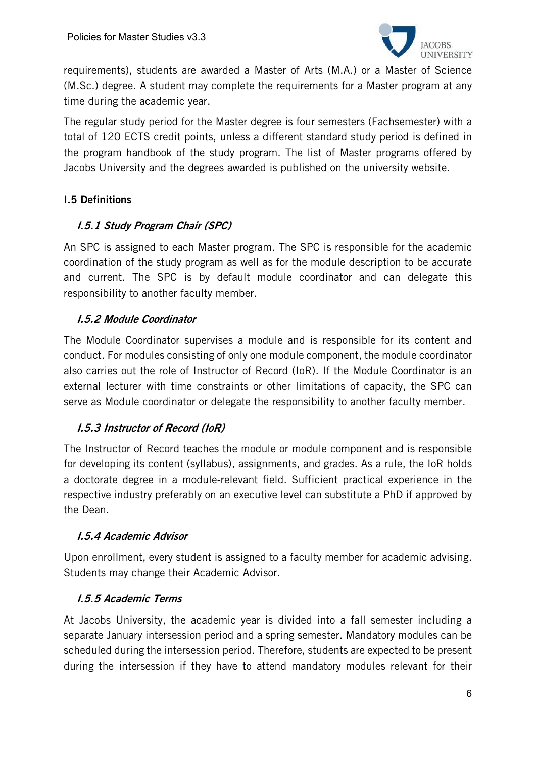

requirements), students are awarded a Master of Arts (M.A.) or a Master of Science (M.Sc.) degree. A student may complete the requirements for a Master program at any time during the academic year.

The regular study period for the Master degree is four semesters (Fachsemester) with a total of 120 ECTS credit points, unless a different standard study period is defined in the program handbook of the study program. The list of Master programs offered by Jacobs University and the degrees awarded is published on the university website.

# I.5 Definitions

# I.5.1 Study Program Chair (SPC)

An SPC is assigned to each Master program. The SPC is responsible for the academic coordination of the study program as well as for the module description to be accurate and current. The SPC is by default module coordinator and can delegate this responsibility to another faculty member.

## I.5.2 Module Coordinator

The Module Coordinator supervises a module and is responsible for its content and conduct. For modules consisting of only one module component, the module coordinator also carries out the role of Instructor of Record (IoR). If the Module Coordinator is an external lecturer with time constraints or other limitations of capacity, the SPC can serve as Module coordinator or delegate the responsibility to another faculty member.

# I.5.3 Instructor of Record (IoR)

The Instructor of Record teaches the module or module component and is responsible for developing its content (syllabus), assignments, and grades. As a rule, the IoR holds a doctorate degree in a module-relevant field. Sufficient practical experience in the respective industry preferably on an executive level can substitute a PhD if approved by the Dean.

#### I.5.4 Academic Advisor

Upon enrollment, every student is assigned to a faculty member for academic advising. Students may change their Academic Advisor.

# I.5.5 Academic Terms

At Jacobs University, the academic year is divided into a fall semester including a separate January intersession period and a spring semester. Mandatory modules can be scheduled during the intersession period. Therefore, students are expected to be present during the intersession if they have to attend mandatory modules relevant for their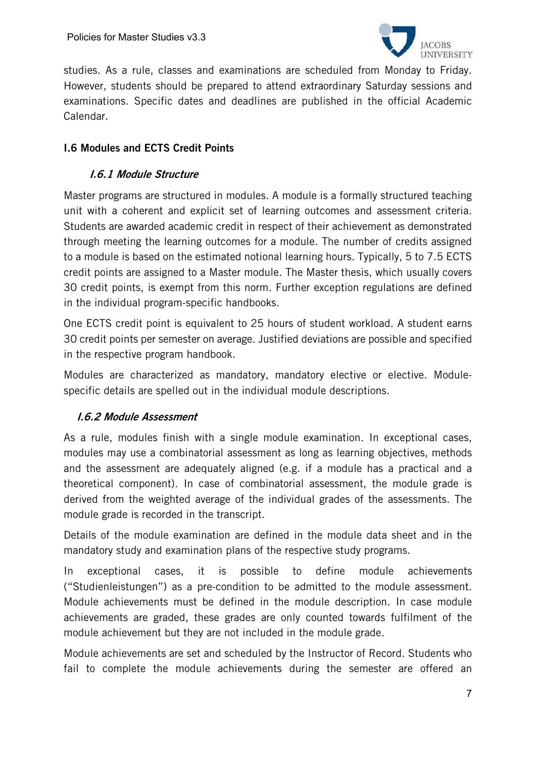

studies. As a rule, classes and examinations are scheduled from Monday to Friday. However, students should be prepared to attend extraordinary Saturday sessions and examinations. Specific dates and deadlines are published in the official Academic Calendar.

# I.6 Modules and ECTS Credit Points

# I.6.1 Module Structure

Master programs are structured in modules. A module is a formally structured teaching unit with a coherent and explicit set of learning outcomes and assessment criteria. Students are awarded academic credit in respect of their achievement as demonstrated through meeting the learning outcomes for a module. The number of credits assigned to a module is based on the estimated notional learning hours. Typically, 5 to 7.5 ECTS credit points are assigned to a Master module. The Master thesis, which usually covers 30 credit points, is exempt from this norm. Further exception regulations are defined in the individual program-specific handbooks.

One ECTS credit point is equivalent to 25 hours of student workload. A student earns 30 credit points per semester on average. Justified deviations are possible and specified in the respective program handbook.

Modules are characterized as mandatory, mandatory elective or elective. Modulespecific details are spelled out in the individual module descriptions.

# I.6.2 Module Assessment

As a rule, modules finish with a single module examination. In exceptional cases, modules may use a combinatorial assessment as long as learning objectives, methods and the assessment are adequately aligned (e.g. if a module has a practical and a theoretical component). In case of combinatorial assessment, the module grade is derived from the weighted average of the individual grades of the assessments. The module grade is recorded in the transcript.

Details of the module examination are defined in the module data sheet and in the mandatory study and examination plans of the respective study programs.

In exceptional cases, it is possible to define module achievements ("Studienleistungen") as a pre-condition to be admitted to the module assessment. Module achievements must be defined in the module description. In case module achievements are graded, these grades are only counted towards fulfilment of the module achievement but they are not included in the module grade.

Module achievements are set and scheduled by the Instructor of Record. Students who fail to complete the module achievements during the semester are offered an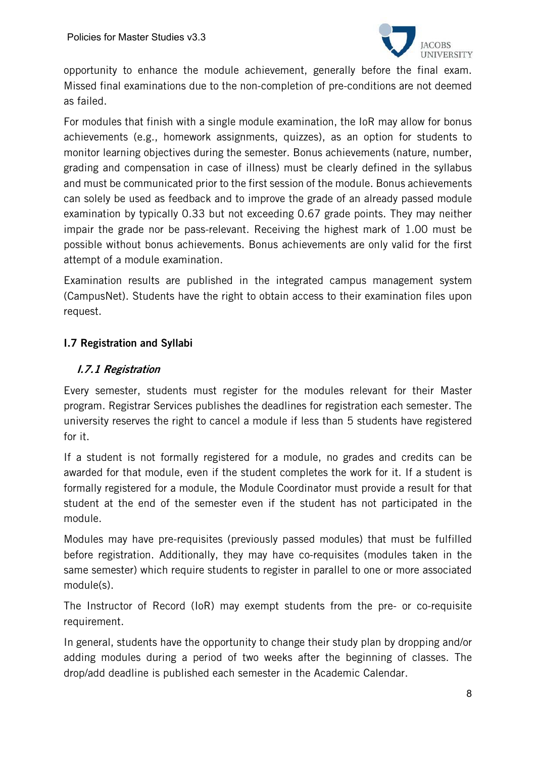

opportunity to enhance the module achievement, generally before the final exam. Missed final examinations due to the non-completion of pre-conditions are not deemed as failed.

For modules that finish with a single module examination, the IoR may allow for bonus achievements (e.g., homework assignments, quizzes), as an option for students to monitor learning objectives during the semester. Bonus achievements (nature, number, grading and compensation in case of illness) must be clearly defined in the syllabus and must be communicated prior to the first session of the module. Bonus achievements can solely be used as feedback and to improve the grade of an already passed module examination by typically 0.33 but not exceeding 0.67 grade points. They may neither impair the grade nor be pass-relevant. Receiving the highest mark of 1.00 must be possible without bonus achievements. Bonus achievements are only valid for the first attempt of a module examination.

Examination results are published in the integrated campus management system (CampusNet). Students have the right to obtain access to their examination files upon request.

# I.7 Registration and Syllabi

## I.7.1 Registration

Every semester, students must register for the modules relevant for their Master program. Registrar Services publishes the deadlines for registration each semester. The university reserves the right to cancel a module if less than 5 students have registered for it.

If a student is not formally registered for a module, no grades and credits can be awarded for that module, even if the student completes the work for it. If a student is formally registered for a module, the Module Coordinator must provide a result for that student at the end of the semester even if the student has not participated in the module.

Modules may have pre-requisites (previously passed modules) that must be fulfilled before registration. Additionally, they may have co-requisites (modules taken in the same semester) which require students to register in parallel to one or more associated module(s).

The Instructor of Record (IoR) may exempt students from the pre- or co-requisite requirement.

In general, students have the opportunity to change their study plan by dropping and/or adding modules during a period of two weeks after the beginning of classes. The drop/add deadline is published each semester in the Academic Calendar.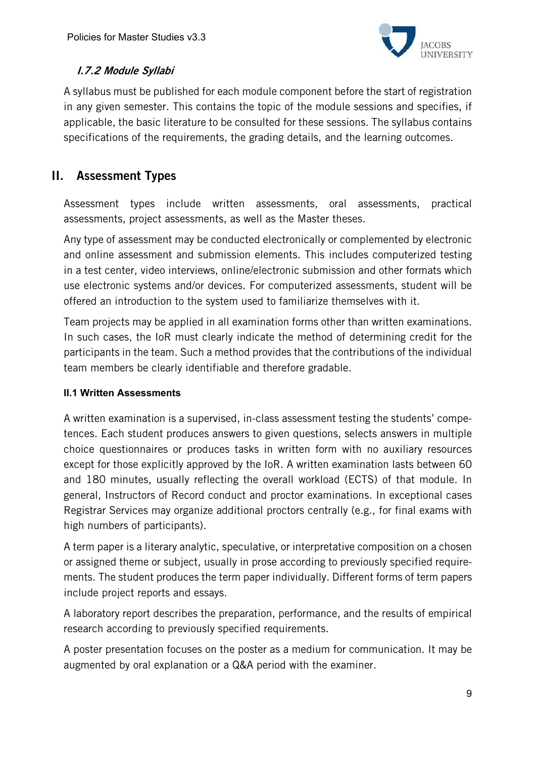

# I.7.2 Module Syllabi

A syllabus must be published for each module component before the start of registration in any given semester. This contains the topic of the module sessions and specifies, if applicable, the basic literature to be consulted for these sessions. The syllabus contains specifications of the requirements, the grading details, and the learning outcomes.

# II. Assessment Types

Assessment types include written assessments, oral assessments, practical assessments, project assessments, as well as the Master theses.

Any type of assessment may be conducted electronically or complemented by electronic and online assessment and submission elements. This includes computerized testing in a test center, video interviews, online/electronic submission and other formats which use electronic systems and/or devices. For computerized assessments, student will be offered an introduction to the system used to familiarize themselves with it.

Team projects may be applied in all examination forms other than written examinations. In such cases, the IoR must clearly indicate the method of determining credit for the participants in the team. Such a method provides that the contributions of the individual team members be clearly identifiable and therefore gradable.

#### **II.1 Written Assessments**

A written examination is a supervised, in-class assessment testing the students' competences. Each student produces answers to given questions, selects answers in multiple choice questionnaires or produces tasks in written form with no auxiliary resources except for those explicitly approved by the IoR. A written examination lasts between 60 and 180 minutes, usually reflecting the overall workload (ECTS) of that module. In general, Instructors of Record conduct and proctor examinations. In exceptional cases Registrar Services may organize additional proctors centrally (e.g., for final exams with high numbers of participants).

A term paper is a literary analytic, speculative, or interpretative composition on a chosen or assigned theme or subject, usually in prose according to previously specified requirements. The student produces the term paper individually. Different forms of term papers include project reports and essays.

A laboratory report describes the preparation, performance, and the results of empirical research according to previously specified requirements.

A poster presentation focuses on the poster as a medium for communication. It may be augmented by oral explanation or a Q&A period with the examiner.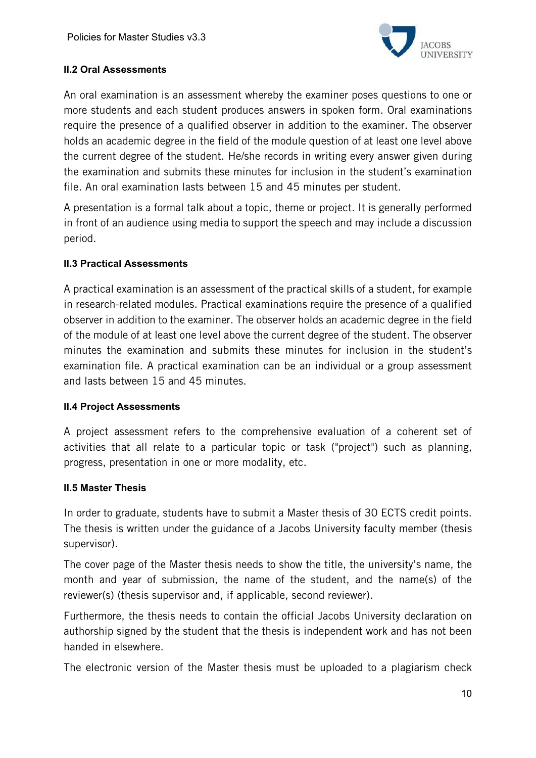

#### **II.2 Oral Assessments**

An oral examination is an assessment whereby the examiner poses questions to one or more students and each student produces answers in spoken form. Oral examinations require the presence of a qualified observer in addition to the examiner. The observer holds an academic degree in the field of the module question of at least one level above the current degree of the student. He/she records in writing every answer given during the examination and submits these minutes for inclusion in the student's examination file. An oral examination lasts between 15 and 45 minutes per student.

A presentation is a formal talk about a topic, theme or project. It is generally performed in front of an audience using media to support the speech and may include a discussion period.

## **II.3 Practical Assessments**

A practical examination is an assessment of the practical skills of a student, for example in research-related modules. Practical examinations require the presence of a qualified observer in addition to the examiner. The observer holds an academic degree in the field of the module of at least one level above the current degree of the student. The observer minutes the examination and submits these minutes for inclusion in the student's examination file. A practical examination can be an individual or a group assessment and lasts between 15 and 45 minutes.

#### **II.4 Project Assessments**

A project assessment refers to the comprehensive evaluation of a coherent set of activities that all relate to a particular topic or task ("project") such as planning, progress, presentation in one or more modality, etc.

#### **II.5 Master Thesis**

In order to graduate, students have to submit a Master thesis of 30 ECTS credit points. The thesis is written under the guidance of a Jacobs University faculty member (thesis supervisor).

The cover page of the Master thesis needs to show the title, the university's name, the month and year of submission, the name of the student, and the name(s) of the reviewer(s) (thesis supervisor and, if applicable, second reviewer).

Furthermore, the thesis needs to contain the official Jacobs University declaration on authorship signed by the student that the thesis is independent work and has not been handed in elsewhere.

The electronic version of the Master thesis must be uploaded to a plagiarism check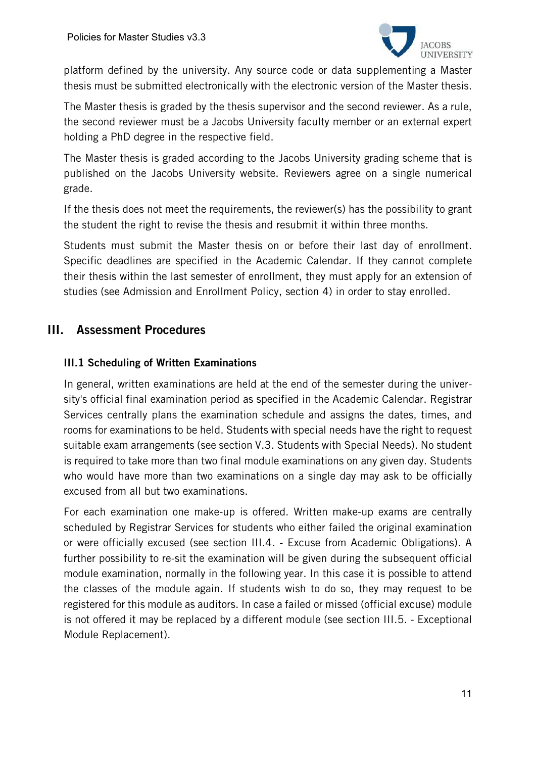

platform defined by the university. Any source code or data supplementing a Master thesis must be submitted electronically with the electronic version of the Master thesis.

The Master thesis is graded by the thesis supervisor and the second reviewer. As a rule, the second reviewer must be a Jacobs University faculty member or an external expert holding a PhD degree in the respective field.

The Master thesis is graded according to the Jacobs University grading scheme that is published on the Jacobs University website. Reviewers agree on a single numerical grade.

If the thesis does not meet the requirements, the reviewer(s) has the possibility to grant the student the right to revise the thesis and resubmit it within three months.

Students must submit the Master thesis on or before their last day of enrollment. Specific deadlines are specified in the Academic Calendar. If they cannot complete their thesis within the last semester of enrollment, they must apply for an extension of studies (see Admission and Enrollment Policy, section 4) in order to stay enrolled.

# III. Assessment Procedures

## III.1 Scheduling of Written Examinations

In general, written examinations are held at the end of the semester during the university's official final examination period as specified in the Academic Calendar. Registrar Services centrally plans the examination schedule and assigns the dates, times, and rooms for examinations to be held. Students with special needs have the right to request suitable exam arrangements (see section V.3. Students with Special Needs). No student is required to take more than two final module examinations on any given day. Students who would have more than two examinations on a single day may ask to be officially excused from all but two examinations.

For each examination one make-up is offered. Written make-up exams are centrally scheduled by Registrar Services for students who either failed the original examination or were officially excused (see section III.4. - Excuse from Academic Obligations). A further possibility to re-sit the examination will be given during the subsequent official module examination, normally in the following year. In this case it is possible to attend the classes of the module again. If students wish to do so, they may request to be registered for this module as auditors. In case a failed or missed (official excuse) module is not offered it may be replaced by a different module (see section III.5. - Exceptional Module Replacement).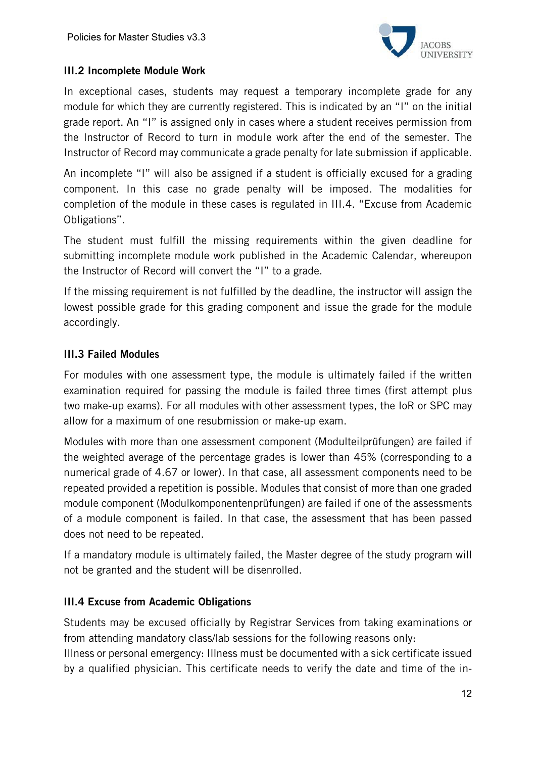

## III.2 Incomplete Module Work

In exceptional cases, students may request a temporary incomplete grade for any module for which they are currently registered. This is indicated by an "I" on the initial grade report. An "I" is assigned only in cases where a student receives permission from the Instructor of Record to turn in module work after the end of the semester. The Instructor of Record may communicate a grade penalty for late submission if applicable.

An incomplete "I" will also be assigned if a student is officially excused for a grading component. In this case no grade penalty will be imposed. The modalities for completion of the module in these cases is regulated in III.4. "Excuse from Academic Obligations".

The student must fulfill the missing requirements within the given deadline for submitting incomplete module work published in the Academic Calendar, whereupon the Instructor of Record will convert the "I" to a grade.

If the missing requirement is not fulfilled by the deadline, the instructor will assign the lowest possible grade for this grading component and issue the grade for the module accordingly.

## III.3 Failed Modules

For modules with one assessment type, the module is ultimately failed if the written examination required for passing the module is failed three times (first attempt plus two make-up exams). For all modules with other assessment types, the IoR or SPC may allow for a maximum of one resubmission or make-up exam.

Modules with more than one assessment component (Modulteilprüfungen) are failed if the weighted average of the percentage grades is lower than 45% (corresponding to a numerical grade of 4.67 or lower). In that case, all assessment components need to be repeated provided a repetition is possible. Modules that consist of more than one graded module component (Modulkomponentenprüfungen) are failed if one of the assessments of a module component is failed. In that case, the assessment that has been passed does not need to be repeated.

If a mandatory module is ultimately failed, the Master degree of the study program will not be granted and the student will be disenrolled.

#### III.4 Excuse from Academic Obligations

Students may be excused officially by Registrar Services from taking examinations or from attending mandatory class/lab sessions for the following reasons only:

Illness or personal emergency: Illness must be documented with a sick certificate issued by a qualified physician. This certificate needs to verify the date and time of the in-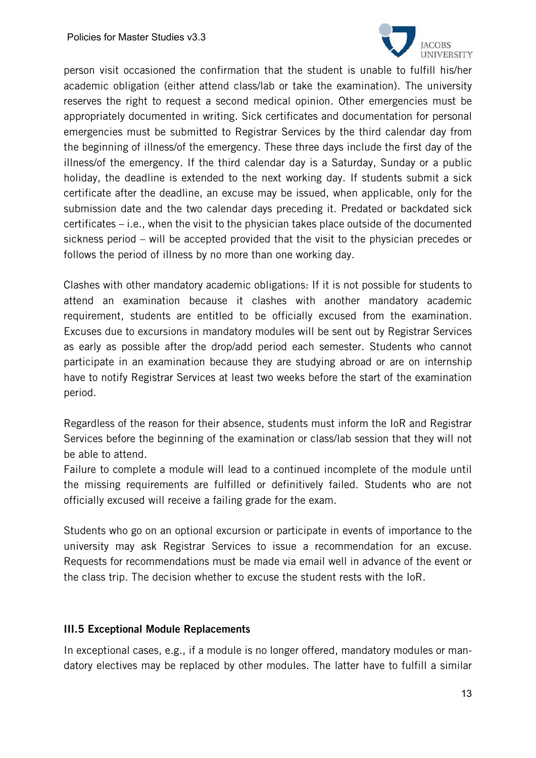

person visit occasioned the confirmation that the student is unable to fulfill his/her academic obligation (either attend class/lab or take the examination). The university reserves the right to request a second medical opinion. Other emergencies must be appropriately documented in writing. Sick certificates and documentation for personal emergencies must be submitted to Registrar Services by the third calendar day from the beginning of illness/of the emergency. These three days include the first day of the illness/of the emergency. If the third calendar day is a Saturday, Sunday or a public holiday, the deadline is extended to the next working day. If students submit a sick certificate after the deadline, an excuse may be issued, when applicable, only for the submission date and the two calendar days preceding it. Predated or backdated sick certificates – i.e., when the visit to the physician takes place outside of the documented sickness period – will be accepted provided that the visit to the physician precedes or follows the period of illness by no more than one working day.

Clashes with other mandatory academic obligations: If it is not possible for students to attend an examination because it clashes with another mandatory academic requirement, students are entitled to be officially excused from the examination. Excuses due to excursions in mandatory modules will be sent out by Registrar Services as early as possible after the drop/add period each semester. Students who cannot participate in an examination because they are studying abroad or are on internship have to notify Registrar Services at least two weeks before the start of the examination period.

Regardless of the reason for their absence, students must inform the IoR and Registrar Services before the beginning of the examination or class/lab session that they will not be able to attend.

Failure to complete a module will lead to a continued incomplete of the module until the missing requirements are fulfilled or definitively failed. Students who are not officially excused will receive a failing grade for the exam.

Students who go on an optional excursion or participate in events of importance to the university may ask Registrar Services to issue a recommendation for an excuse. Requests for recommendations must be made via email well in advance of the event or the class trip. The decision whether to excuse the student rests with the IoR.

#### III.5 Exceptional Module Replacements

In exceptional cases, e.g., if a module is no longer offered, mandatory modules or mandatory electives may be replaced by other modules. The latter have to fulfill a similar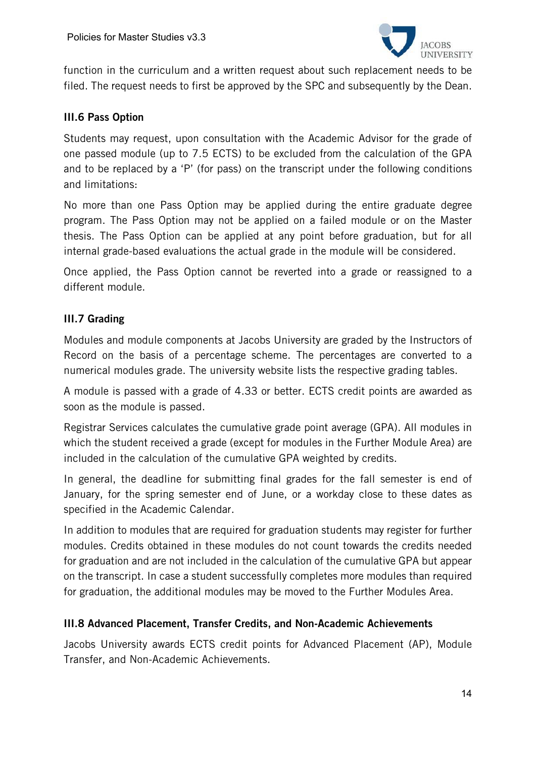

function in the curriculum and a written request about such replacement needs to be filed. The request needs to first be approved by the SPC and subsequently by the Dean.

#### III.6 Pass Option

Students may request, upon consultation with the Academic Advisor for the grade of one passed module (up to 7.5 ECTS) to be excluded from the calculation of the GPA and to be replaced by a 'P' (for pass) on the transcript under the following conditions and limitations:

No more than one Pass Option may be applied during the entire graduate degree program. The Pass Option may not be applied on a failed module or on the Master thesis. The Pass Option can be applied at any point before graduation, but for all internal grade-based evaluations the actual grade in the module will be considered.

Once applied, the Pass Option cannot be reverted into a grade or reassigned to a different module.

# III.7 Grading

Modules and module components at Jacobs University are graded by the Instructors of Record on the basis of a percentage scheme. The percentages are converted to a numerical modules grade. The university website lists the respective grading tables.

A module is passed with a grade of 4.33 or better. ECTS credit points are awarded as soon as the module is passed.

Registrar Services calculates the cumulative grade point average (GPA). All modules in which the student received a grade (except for modules in the Further Module Area) are included in the calculation of the cumulative GPA weighted by credits.

In general, the deadline for submitting final grades for the fall semester is end of January, for the spring semester end of June, or a workday close to these dates as specified in the Academic Calendar.

In addition to modules that are required for graduation students may register for further modules. Credits obtained in these modules do not count towards the credits needed for graduation and are not included in the calculation of the cumulative GPA but appear on the transcript. In case a student successfully completes more modules than required for graduation, the additional modules may be moved to the Further Modules Area.

#### III.8 Advanced Placement, Transfer Credits, and Non-Academic Achievements

Jacobs University awards ECTS credit points for Advanced Placement (AP), Module Transfer, and Non-Academic Achievements.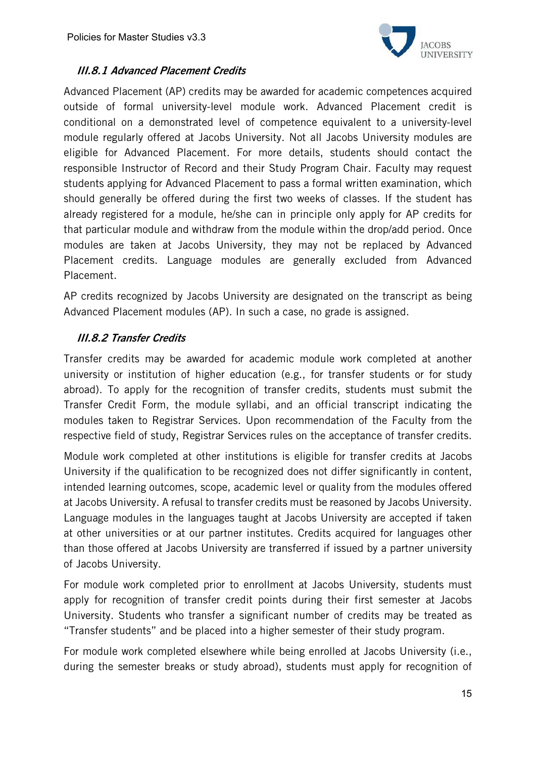

## III.8.1 Advanced Placement Credits

Advanced Placement (AP) credits may be awarded for academic competences acquired outside of formal university-level module work. Advanced Placement credit is conditional on a demonstrated level of competence equivalent to a university-level module regularly offered at Jacobs University. Not all Jacobs University modules are eligible for Advanced Placement. For more details, students should contact the responsible Instructor of Record and their Study Program Chair. Faculty may request students applying for Advanced Placement to pass a formal written examination, which should generally be offered during the first two weeks of classes. If the student has already registered for a module, he/she can in principle only apply for AP credits for that particular module and withdraw from the module within the drop/add period. Once modules are taken at Jacobs University, they may not be replaced by Advanced Placement credits. Language modules are generally excluded from Advanced Placement.

AP credits recognized by Jacobs University are designated on the transcript as being Advanced Placement modules (AP). In such a case, no grade is assigned.

## III.8.2 Transfer Credits

Transfer credits may be awarded for academic module work completed at another university or institution of higher education (e.g., for transfer students or for study abroad). To apply for the recognition of transfer credits, students must submit the Transfer Credit Form, the module syllabi, and an official transcript indicating the modules taken to Registrar Services. Upon recommendation of the Faculty from the respective field of study, Registrar Services rules on the acceptance of transfer credits.

Module work completed at other institutions is eligible for transfer credits at Jacobs University if the qualification to be recognized does not differ significantly in content, intended learning outcomes, scope, academic level or quality from the modules offered at Jacobs University. A refusal to transfer credits must be reasoned by Jacobs University. Language modules in the languages taught at Jacobs University are accepted if taken at other universities or at our partner institutes. Credits acquired for languages other than those offered at Jacobs University are transferred if issued by a partner university of Jacobs University.

For module work completed prior to enrollment at Jacobs University, students must apply for recognition of transfer credit points during their first semester at Jacobs University. Students who transfer a significant number of credits may be treated as "Transfer students" and be placed into a higher semester of their study program.

For module work completed elsewhere while being enrolled at Jacobs University (i.e., during the semester breaks or study abroad), students must apply for recognition of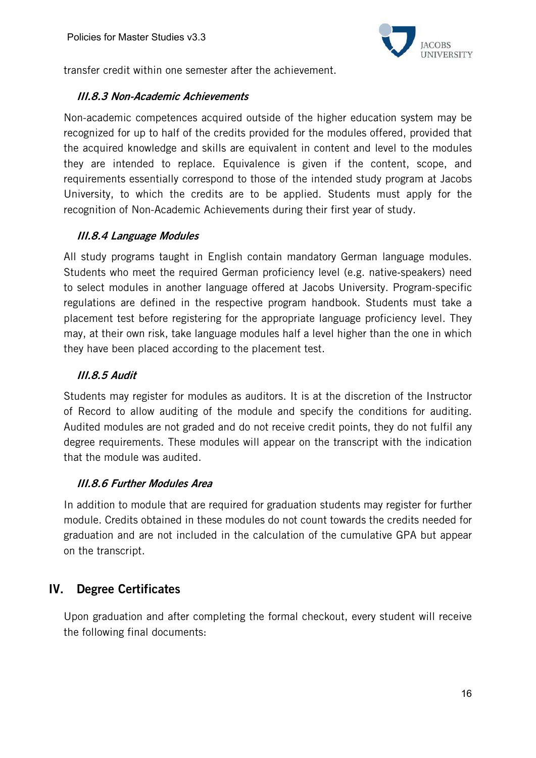

transfer credit within one semester after the achievement.

#### III.8.3 Non-Academic Achievements

Non-academic competences acquired outside of the higher education system may be recognized for up to half of the credits provided for the modules offered, provided that the acquired knowledge and skills are equivalent in content and level to the modules they are intended to replace. Equivalence is given if the content, scope, and requirements essentially correspond to those of the intended study program at Jacobs University, to which the credits are to be applied. Students must apply for the recognition of Non-Academic Achievements during their first year of study.

## III.8.4 Language Modules

All study programs taught in English contain mandatory German language modules. Students who meet the required German proficiency level (e.g. native-speakers) need to select modules in another language offered at Jacobs University. Program-specific regulations are defined in the respective program handbook. Students must take a placement test before registering for the appropriate language proficiency level. They may, at their own risk, take language modules half a level higher than the one in which they have been placed according to the placement test.

## III.8.5 Audit

Students may register for modules as auditors. It is at the discretion of the Instructor of Record to allow auditing of the module and specify the conditions for auditing. Audited modules are not graded and do not receive credit points, they do not fulfil any degree requirements. These modules will appear on the transcript with the indication that the module was audited.

# III.8.6 Further Modules Area

In addition to module that are required for graduation students may register for further module. Credits obtained in these modules do not count towards the credits needed for graduation and are not included in the calculation of the cumulative GPA but appear on the transcript.

# IV. Degree Certificates

Upon graduation and after completing the formal checkout, every student will receive the following final documents: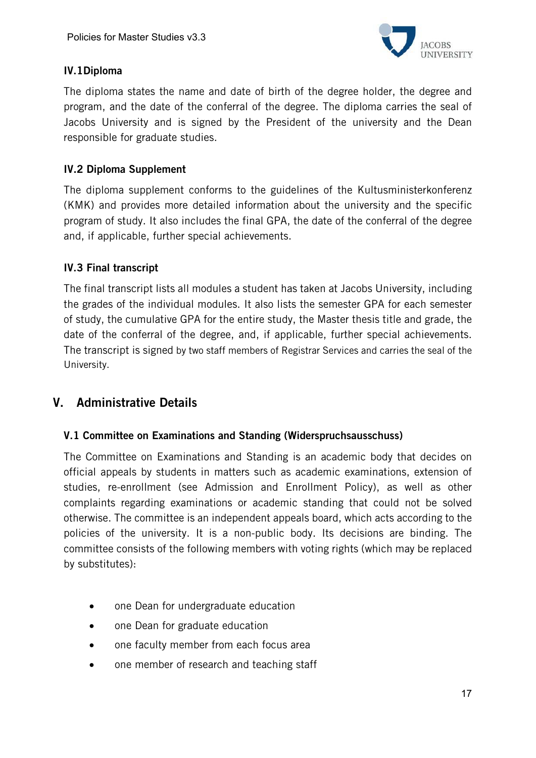

## IV.1Diploma

The diploma states the name and date of birth of the degree holder, the degree and program, and the date of the conferral of the degree. The diploma carries the seal of Jacobs University and is signed by the President of the university and the Dean responsible for graduate studies.

## IV.2 Diploma Supplement

The diploma supplement conforms to the guidelines of the Kultusministerkonferenz (KMK) and provides more detailed information about the university and the specific program of study. It also includes the final GPA, the date of the conferral of the degree and, if applicable, further special achievements.

## IV.3 Final transcript

The final transcript lists all modules a student has taken at Jacobs University, including the grades of the individual modules. It also lists the semester GPA for each semester of study, the cumulative GPA for the entire study, the Master thesis title and grade, the date of the conferral of the degree, and, if applicable, further special achievements. The transcript is signed by two staff members of Registrar Services and carries the seal of the University.

# V. Administrative Details

#### V.1 Committee on Examinations and Standing (Widerspruchsausschuss)

The Committee on Examinations and Standing is an academic body that decides on official appeals by students in matters such as academic examinations, extension of studies, re-enrollment (see Admission and Enrollment Policy), as well as other complaints regarding examinations or academic standing that could not be solved otherwise. The committee is an independent appeals board, which acts according to the policies of the university. It is a non-public body. Its decisions are binding. The committee consists of the following members with voting rights (which may be replaced by substitutes):

- one Dean for undergraduate education
- one Dean for graduate education
- one faculty member from each focus area
- one member of research and teaching staff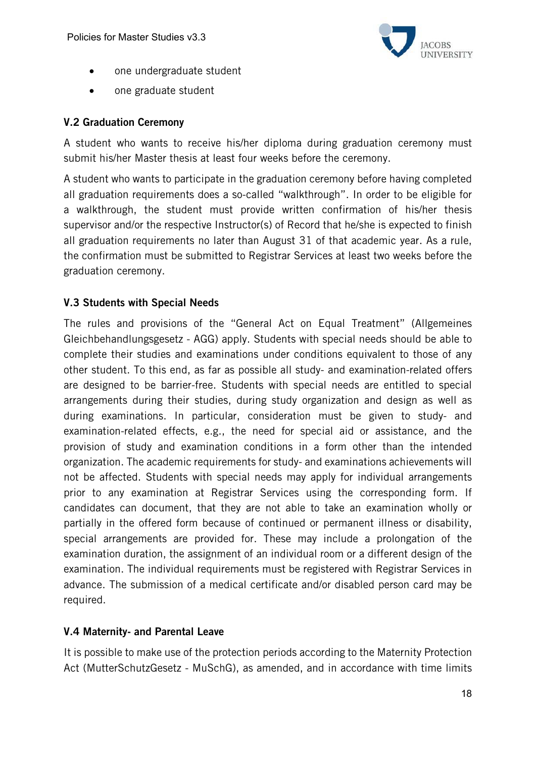

- one undergraduate student
- one graduate student

#### V.2 Graduation Ceremony

A student who wants to receive his/her diploma during graduation ceremony must submit his/her Master thesis at least four weeks before the ceremony.

A student who wants to participate in the graduation ceremony before having completed all graduation requirements does a so-called "walkthrough". In order to be eligible for a walkthrough, the student must provide written confirmation of his/her thesis supervisor and/or the respective Instructor(s) of Record that he/she is expected to finish all graduation requirements no later than August 31 of that academic year. As a rule, the confirmation must be submitted to Registrar Services at least two weeks before the graduation ceremony.

#### V.3 Students with Special Needs

The rules and provisions of the "General Act on Equal Treatment" (Allgemeines Gleichbehandlungsgesetz - AGG) apply. Students with special needs should be able to complete their studies and examinations under conditions equivalent to those of any other student. To this end, as far as possible all study- and examination-related offers are designed to be barrier-free. Students with special needs are entitled to special arrangements during their studies, during study organization and design as well as during examinations. In particular, consideration must be given to study- and examination-related effects, e.g., the need for special aid or assistance, and the provision of study and examination conditions in a form other than the intended organization. The academic requirements for study- and examinations achievements will not be affected. Students with special needs may apply for individual arrangements prior to any examination at Registrar Services using the corresponding form. If candidates can document, that they are not able to take an examination wholly or partially in the offered form because of continued or permanent illness or disability, special arrangements are provided for. These may include a prolongation of the examination duration, the assignment of an individual room or a different design of the examination. The individual requirements must be registered with Registrar Services in advance. The submission of a medical certificate and/or disabled person card may be required.

#### V.4 Maternity- and Parental Leave

It is possible to make use of the protection periods according to the Maternity Protection Act (MutterSchutzGesetz - MuSchG), as amended, and in accordance with time limits